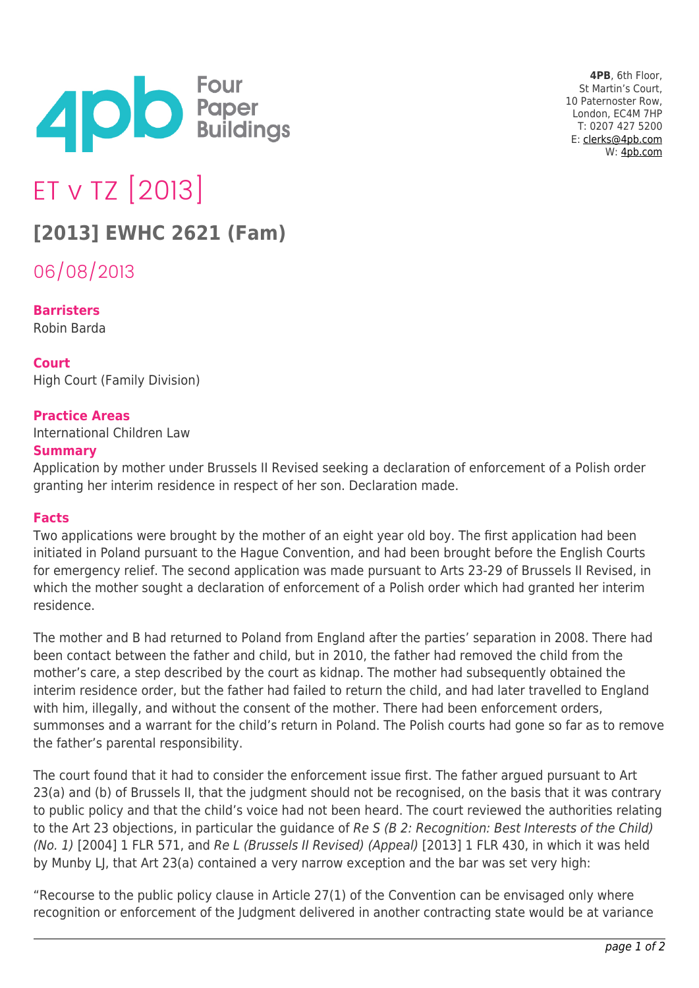

**4PB**, 6th Floor, St Martin's Court, 10 Paternoster Row, London, EC4M 7HP T: 0207 427 5200 E: [clerks@4pb.com](mailto:clerks@4pb.com) W: [4pb.com](http://4pb.com)

# ET v TZ [2013]

## **[2013] EWHC 2621 (Fam)**

06/08/2013

**Barristers** Robin Barda

### **Court**

High Court (Family Division)

#### **Practice Areas**

International Children Law

#### **Summary**

Application by mother under Brussels II Revised seeking a declaration of enforcement of a Polish order granting her interim residence in respect of her son. Declaration made.

#### **Facts**

Two applications were brought by the mother of an eight year old boy. The first application had been initiated in Poland pursuant to the Hague Convention, and had been brought before the English Courts for emergency relief. The second application was made pursuant to Arts 23-29 of Brussels II Revised, in which the mother sought a declaration of enforcement of a Polish order which had granted her interim residence.

The mother and B had returned to Poland from England after the parties' separation in 2008. There had been contact between the father and child, but in 2010, the father had removed the child from the mother's care, a step described by the court as kidnap. The mother had subsequently obtained the interim residence order, but the father had failed to return the child, and had later travelled to England with him, illegally, and without the consent of the mother. There had been enforcement orders, summonses and a warrant for the child's return in Poland. The Polish courts had gone so far as to remove the father's parental responsibility.

The court found that it had to consider the enforcement issue first. The father argued pursuant to Art 23(a) and (b) of Brussels II, that the judgment should not be recognised, on the basis that it was contrary to public policy and that the child's voice had not been heard. The court reviewed the authorities relating to the Art 23 objections, in particular the guidance of Re S (B 2: Recognition: Best Interests of the Child) (No. 1) [2004] 1 FLR 571, and Re L (Brussels II Revised) (Appeal) [2013] 1 FLR 430, in which it was held by Munby LJ, that Art 23(a) contained a very narrow exception and the bar was set very high:

"Recourse to the public policy clause in Article 27(1) of the Convention can be envisaged only where recognition or enforcement of the Judgment delivered in another contracting state would be at variance